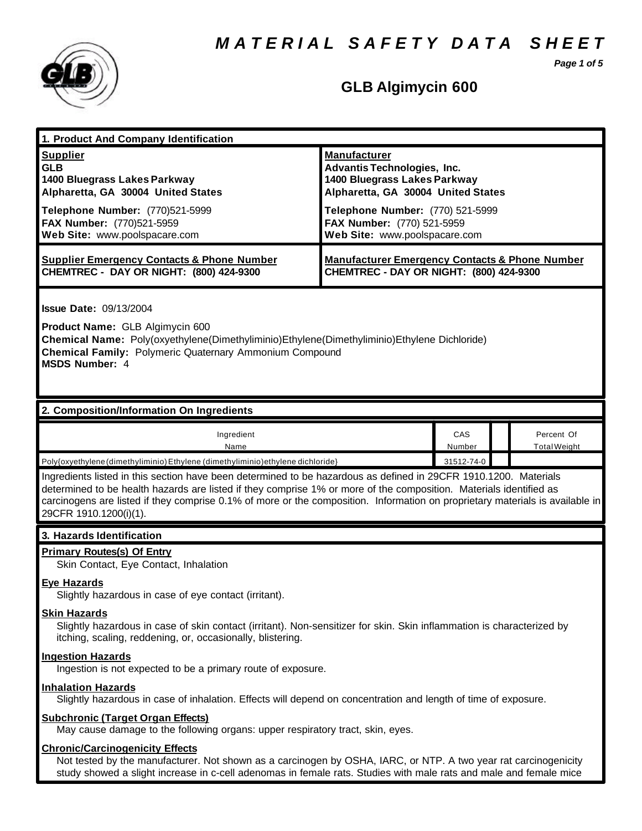*M A T E R I A L S A F E T Y D A T A S H E E T*

*Page 1 of 5*



# **GLB Algimycin 600**

| 1. Product And Company Identification<br><b>Supplier</b><br><b>GLB</b><br>1400 Bluegrass Lakes Parkway<br>Alpharetta, GA 30004 United States                                                                                                                                                                                                                                                                                                                                                       | <b>Manufacturer</b><br><b>Advantis Technologies, Inc.</b><br>1400 Bluegrass Lakes Parkway<br>Alpharetta, GA 30004 United States |               |                                   |  |
|----------------------------------------------------------------------------------------------------------------------------------------------------------------------------------------------------------------------------------------------------------------------------------------------------------------------------------------------------------------------------------------------------------------------------------------------------------------------------------------------------|---------------------------------------------------------------------------------------------------------------------------------|---------------|-----------------------------------|--|
| Telephone Number: (770)521-5999<br>FAX Number: (770)521-5959<br>Web Site: www.poolspacare.com                                                                                                                                                                                                                                                                                                                                                                                                      | Telephone Number: (770) 521-5999<br>FAX Number: (770) 521-5959<br>Web Site: www.poolspacare.com                                 |               |                                   |  |
| <b>Supplier Emergency Contacts &amp; Phone Number</b><br>CHEMTREC - DAY OR NIGHT: (800) 424-9300                                                                                                                                                                                                                                                                                                                                                                                                   | <b>Manufacturer Emergency Contacts &amp; Phone Number</b><br>CHEMTREC - DAY OR NIGHT: (800) 424-9300                            |               |                                   |  |
| <b>Issue Date: 09/13/2004</b><br>Product Name: GLB Algimycin 600<br>Chemical Name: Poly(oxyethylene(Dimethyliminio)Ethylene(Dimethyliminio)Ethylene Dichloride)<br><b>Chemical Family: Polymeric Quaternary Ammonium Compound</b><br><b>MSDS Number: 4</b>                                                                                                                                                                                                                                         |                                                                                                                                 |               |                                   |  |
| 2. Composition/Information On Ingredients                                                                                                                                                                                                                                                                                                                                                                                                                                                          |                                                                                                                                 |               |                                   |  |
| Ingredient<br>Name                                                                                                                                                                                                                                                                                                                                                                                                                                                                                 |                                                                                                                                 | CAS<br>Number | Percent Of<br><b>Total Weight</b> |  |
| 31512-74-0<br>Poly{oxyethylene(dimethyliminio) Ethylene (dimethyliminio) ethylene dichloride}<br>Ingredients listed in this section have been determined to be hazardous as defined in 29CFR 1910.1200. Materials<br>determined to be health hazards are listed if they comprise 1% or more of the composition. Materials identified as<br>carcinogens are listed if they comprise 0.1% of more or the composition. Information on proprietary materials is available in<br>29CFR 1910.1200(i)(1). |                                                                                                                                 |               |                                   |  |
| 3. Hazards Identification                                                                                                                                                                                                                                                                                                                                                                                                                                                                          |                                                                                                                                 |               |                                   |  |
| <b>Primary Routes(s) Of Entry</b><br>Skin Contact, Eye Contact, Inhalation                                                                                                                                                                                                                                                                                                                                                                                                                         |                                                                                                                                 |               |                                   |  |
| <b>Eye Hazards</b><br>Slightly hazardous in case of eye contact (irritant).                                                                                                                                                                                                                                                                                                                                                                                                                        |                                                                                                                                 |               |                                   |  |
| <b>Skin Hazards</b><br>Slightly hazardous in case of skin contact (irritant). Non-sensitizer for skin. Skin inflammation is characterized by<br>itching, scaling, reddening, or, occasionally, blistering.                                                                                                                                                                                                                                                                                         |                                                                                                                                 |               |                                   |  |
| <b>Ingestion Hazards</b><br>Ingestion is not expected to be a primary route of exposure.                                                                                                                                                                                                                                                                                                                                                                                                           |                                                                                                                                 |               |                                   |  |
| <b>Inhalation Hazards</b><br>Slightly hazardous in case of inhalation. Effects will depend on concentration and length of time of exposure.                                                                                                                                                                                                                                                                                                                                                        |                                                                                                                                 |               |                                   |  |
| <b>Subchronic (Target Organ Effects)</b><br>May cause damage to the following organs: upper respiratory tract, skin, eyes.                                                                                                                                                                                                                                                                                                                                                                         |                                                                                                                                 |               |                                   |  |
| <b>Chronic/Carcinogenicity Effects</b><br>Not tested by the manufacturer. Not shown as a carcinogen by OSHA, IARC, or NTP. A two year rat carcinogenicity<br>study showed a slight increase in c-cell adenomas in female rats. Studies with male rats and male and female mice                                                                                                                                                                                                                     |                                                                                                                                 |               |                                   |  |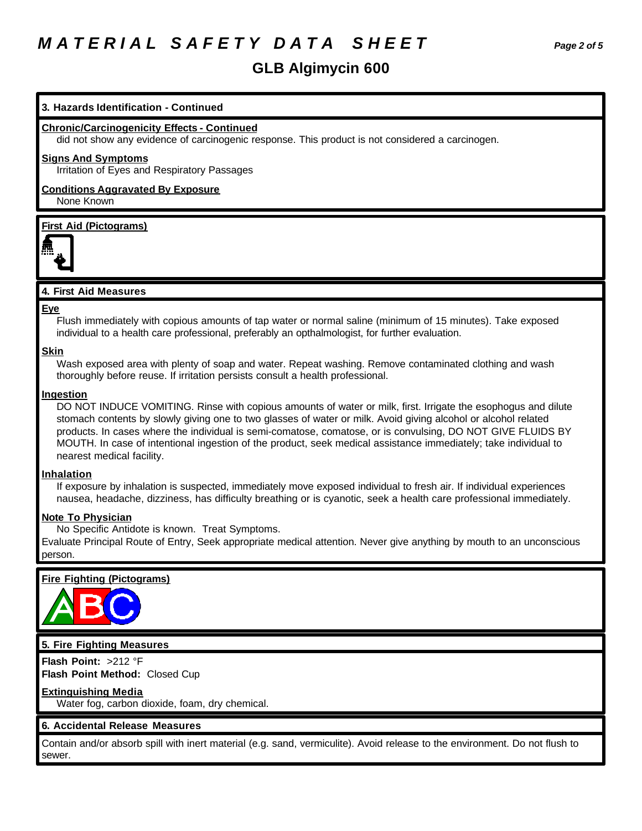# *M A T E R I A L S A F E T Y D A T A S H E E T Page 2 of 5*

### **GLB Algimycin 600**

### **3. Hazards Identification - Continued**

#### **Chronic/Carcinogenicity Effects - Continued**

did not show any evidence of carcinogenic response. This product is not considered a carcinogen.

#### **Signs And Symptoms**

Irritation of Eyes and Respiratory Passages

#### **Conditions Aggravated By Exposure** None Known

### **First Aid (Pictograms)**



### **4. First Aid Measures**

#### **Eye**

Flush immediately with copious amounts of tap water or normal saline (minimum of 15 minutes). Take exposed individual to a health care professional, preferably an opthalmologist, for further evaluation.

#### **Skin**

Wash exposed area with plenty of soap and water. Repeat washing. Remove contaminated clothing and wash thoroughly before reuse. If irritation persists consult a health professional.

#### **Ingestion**

DO NOT INDUCE VOMITING. Rinse with copious amounts of water or milk, first. Irrigate the esophogus and dilute stomach contents by slowly giving one to two glasses of water or milk. Avoid giving alcohol or alcohol related products. In cases where the individual is semi-comatose, comatose, or is convulsing, DO NOT GIVE FLUIDS BY MOUTH. In case of intentional ingestion of the product, seek medical assistance immediately; take individual to nearest medical facility.

#### **Inhalation**

If exposure by inhalation is suspected, immediately move exposed individual to fresh air. If individual experiences nausea, headache, dizziness, has difficulty breathing or is cyanotic, seek a health care professional immediately.

#### **Note To Physician**

No Specific Antidote is known. Treat Symptoms.

Evaluate Principal Route of Entry, Seek appropriate medical attention. Never give anything by mouth to an unconscious person.

### **Fire Fighting (Pictograms)**



#### **5. Fire Fighting Measures**

**Flash Point:** >212 °F **Flash Point Method:** Closed Cup

#### **Extinguishing Media**

Water fog, carbon dioxide, foam, dry chemical.

### **6. Accidental Release Measures**

Contain and/or absorb spill with inert material (e.g. sand, vermiculite). Avoid release to the environment. Do not flush to sewer.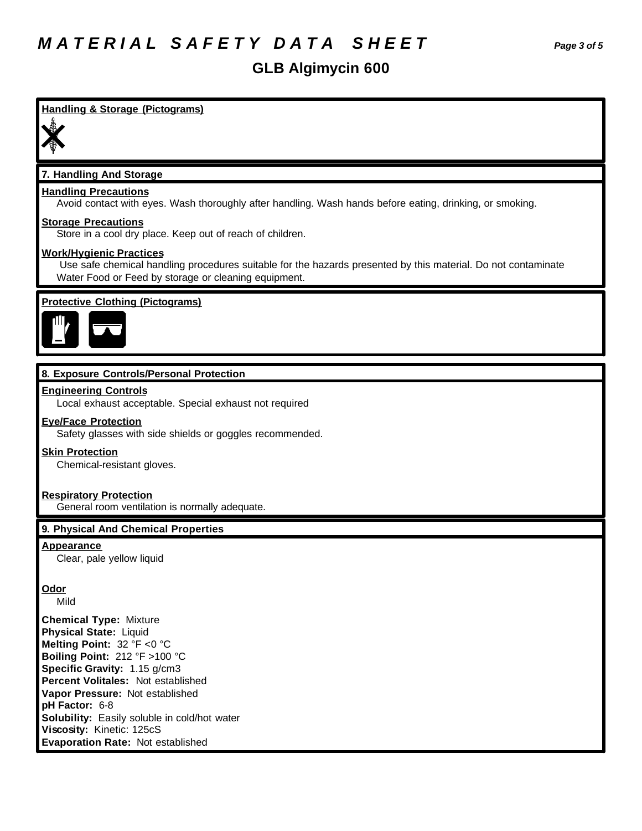## **GLB Algimycin 600**

# **Handling & Storage (Pictograms) 7. Handling And Storage Handling Precautions** Avoid contact with eyes. Wash thoroughly after handling. Wash hands before eating, drinking, or smoking. **Storage Precautions** Store in a cool dry place. Keep out of reach of children. **Work/Hygienic Practices** Use safe chemical handling procedures suitable for the hazards presented by this material. Do not contaminate Water Food or Feed by storage or cleaning equipment. **Protective Clothing (Pictograms) 8. Exposure Controls/Personal Protection Engineering Controls** Local exhaust acceptable. Special exhaust not required **Eye/Face Protection** Safety glasses with side shields or goggles recommended. **Skin Protection** Chemical-resistant gloves. **Respiratory Protection** General room ventilation is normally adequate. **9. Physical And Chemical Properties Appearance** Clear, pale yellow liquid **Odor** Mild **Chemical Type:** Mixture **Physical State:** Liquid **Melting Point:** 32 °F <0 °C **Boiling Point:** 212 °F >100 °C **Specific Gravity:** 1.15 g/cm3 **Percent Volitales:** Not established **Vapor Pressure:** Not established **pH Factor:** 6-8 **Solubility:** Easily soluble in cold/hot water **Viscosity:** Kinetic: 125cS **Evaporation Rate:** Not established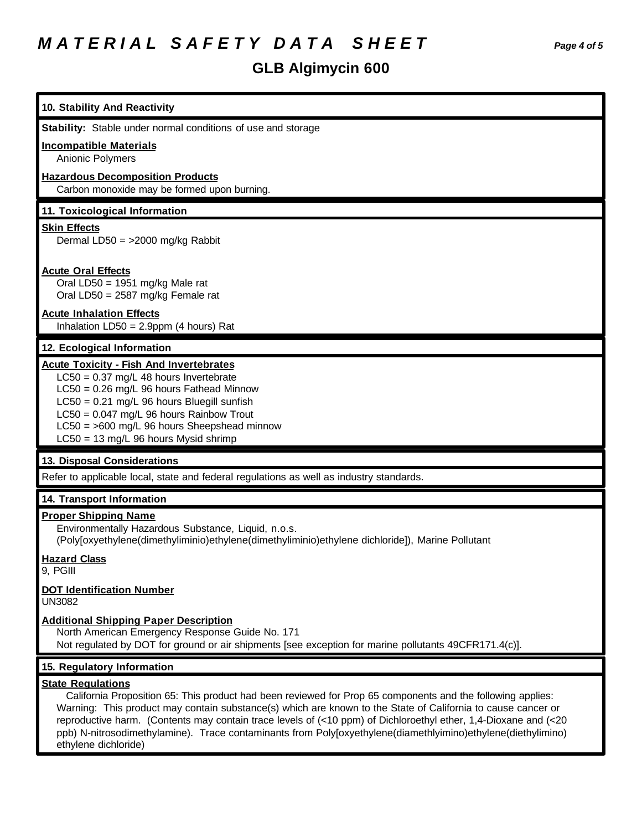# **GLB Algimycin 600**

| 10. Stability And Reactivity                                                                                                                                                                                                                                                                                                                                                                                                                                                                                       |
|--------------------------------------------------------------------------------------------------------------------------------------------------------------------------------------------------------------------------------------------------------------------------------------------------------------------------------------------------------------------------------------------------------------------------------------------------------------------------------------------------------------------|
| Stability: Stable under normal conditions of use and storage                                                                                                                                                                                                                                                                                                                                                                                                                                                       |
| <b>Incompatible Materials</b><br><b>Anionic Polymers</b>                                                                                                                                                                                                                                                                                                                                                                                                                                                           |
| <b>Hazardous Decomposition Products</b><br>Carbon monoxide may be formed upon burning.                                                                                                                                                                                                                                                                                                                                                                                                                             |
| 11. Toxicological Information                                                                                                                                                                                                                                                                                                                                                                                                                                                                                      |
| <b>Skin Effects</b><br>Dermal LD50 = $>2000$ mg/kg Rabbit                                                                                                                                                                                                                                                                                                                                                                                                                                                          |
| <b>Acute Oral Effects</b><br>Oral LD50 = 1951 mg/kg Male rat<br>Oral LD50 = 2587 mg/kg Female rat                                                                                                                                                                                                                                                                                                                                                                                                                  |
| <b>Acute Inhalation Effects</b><br>Inhalation $LD50 = 2.9$ ppm (4 hours) Rat                                                                                                                                                                                                                                                                                                                                                                                                                                       |
| 12. Ecological Information                                                                                                                                                                                                                                                                                                                                                                                                                                                                                         |
| <b>Acute Toxicity - Fish And Invertebrates</b><br>$LC50 = 0.37$ mg/L 48 hours Invertebrate<br>$LC50 = 0.26$ mg/L 96 hours Fathead Minnow<br>LC50 = 0.21 mg/L 96 hours Bluegill sunfish<br>$LC50 = 0.047$ mg/L 96 hours Rainbow Trout<br>LC50 = >600 mg/L 96 hours Sheepshead minnow<br>LC50 = 13 mg/L 96 hours Mysid shrimp                                                                                                                                                                                        |
| 13. Disposal Considerations                                                                                                                                                                                                                                                                                                                                                                                                                                                                                        |
| Refer to applicable local, state and federal regulations as well as industry standards.                                                                                                                                                                                                                                                                                                                                                                                                                            |
| 14. Transport Information                                                                                                                                                                                                                                                                                                                                                                                                                                                                                          |
| <b>Proper Shipping Name</b><br>Environmentally Hazardous Substance, Liquid, n.o.s.<br>(Poly[oxyethylene(dimethyliminio)ethylene(dimethyliminio)ethylene dichloride]), Marine Pollutant                                                                                                                                                                                                                                                                                                                             |
| <b>Hazard Class</b><br>9, PGIII                                                                                                                                                                                                                                                                                                                                                                                                                                                                                    |
| <b>DOT Identification Number</b><br><b>UN3082</b>                                                                                                                                                                                                                                                                                                                                                                                                                                                                  |
| <b>Additional Shipping Paper Description</b><br>North American Emergency Response Guide No. 171<br>Not regulated by DOT for ground or air shipments [see exception for marine pollutants 49CFR171.4(c)].                                                                                                                                                                                                                                                                                                           |
| 15. Regulatory Information                                                                                                                                                                                                                                                                                                                                                                                                                                                                                         |
| <b>State Regulations</b><br>California Proposition 65: This product had been reviewed for Prop 65 components and the following applies:<br>Warning: This product may contain substance(s) which are known to the State of California to cause cancer or<br>reproductive harm. (Contents may contain trace levels of (<10 ppm) of Dichloroethyl ether, 1,4-Dioxane and (<20<br>ppb) N-nitrosodimethylamine). Trace contaminants from Poly[oxyethylene(diamethlyimino)ethylene(diethylimino)<br>ethylene dichloride) |